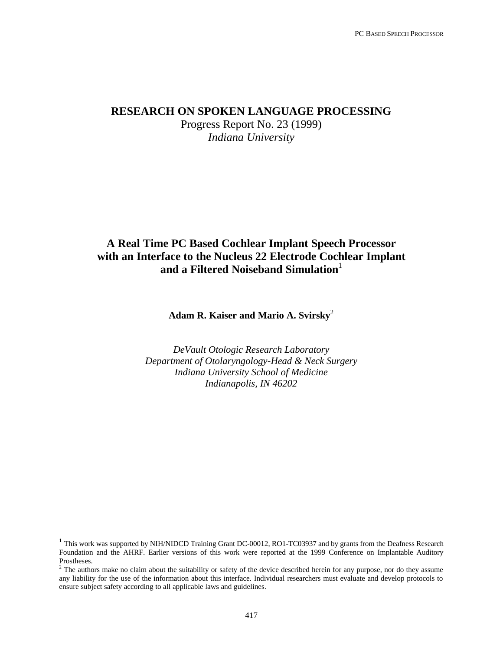### **RESEARCH ON SPOKEN LANGUAGE PROCESSING**

Progress Report No. 23 (1999) *Indiana University*

### **A Real Time PC Based Cochlear Implant Speech Processor with an Interface to the Nucleus 22 Electrode Cochlear Implant** and a Filtered Noiseband Simulation<sup>1</sup>

**Adam R. Kaiser and Mario A. Svirsky**<sup>2</sup>

*DeVault Otologic Research Laboratory Department of Otolaryngology-Head & Neck Surgery Indiana University School of Medicine Indianapolis, IN 46202*

-

<sup>&</sup>lt;sup>1</sup> This work was supported by NIH/NIDCD Training Grant DC-00012, RO1-TC03937 and by grants from the Deafness Research Foundation and the AHRF. Earlier versions of this work were reported at the 1999 Conference on Implantable Auditory Prostheses.

 $2<sup>2</sup>$  The authors make no claim about the suitability or safety of the device described herein for any purpose, nor do they assume any liability for the use of the information about this interface. Individual researchers must evaluate and develop protocols to ensure subject safety according to all applicable laws and guidelines.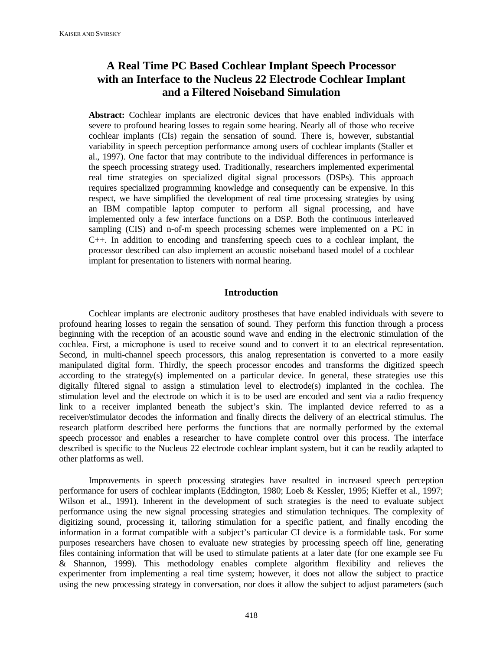## **A Real Time PC Based Cochlear Implant Speech Processor with an Interface to the Nucleus 22 Electrode Cochlear Implant and a Filtered Noiseband Simulation**

**Abstract:** Cochlear implants are electronic devices that have enabled individuals with severe to profound hearing losses to regain some hearing. Nearly all of those who receive cochlear implants (CIs) regain the sensation of sound. There is, however, substantial variability in speech perception performance among users of cochlear implants (Staller et al., 1997). One factor that may contribute to the individual differences in performance is the speech processing strategy used. Traditionally, researchers implemented experimental real time strategies on specialized digital signal processors (DSPs). This approach requires specialized programming knowledge and consequently can be expensive. In this respect, we have simplified the development of real time processing strategies by using an IBM compatible laptop computer to perform all signal processing, and have implemented only a few interface functions on a DSP. Both the continuous interleaved sampling (CIS) and n-of-m speech processing schemes were implemented on a PC in C++. In addition to encoding and transferring speech cues to a cochlear implant, the processor described can also implement an acoustic noiseband based model of a cochlear implant for presentation to listeners with normal hearing.

#### **Introduction**

Cochlear implants are electronic auditory prostheses that have enabled individuals with severe to profound hearing losses to regain the sensation of sound. They perform this function through a process beginning with the reception of an acoustic sound wave and ending in the electronic stimulation of the cochlea. First, a microphone is used to receive sound and to convert it to an electrical representation. Second, in multi-channel speech processors, this analog representation is converted to a more easily manipulated digital form. Thirdly, the speech processor encodes and transforms the digitized speech according to the strategy(s) implemented on a particular device. In general, these strategies use this digitally filtered signal to assign a stimulation level to electrode(s) implanted in the cochlea. The stimulation level and the electrode on which it is to be used are encoded and sent via a radio frequency link to a receiver implanted beneath the subject's skin. The implanted device referred to as a receiver/stimulator decodes the information and finally directs the delivery of an electrical stimulus. The research platform described here performs the functions that are normally performed by the external speech processor and enables a researcher to have complete control over this process. The interface described is specific to the Nucleus 22 electrode cochlear implant system, but it can be readily adapted to other platforms as well.

Improvements in speech processing strategies have resulted in increased speech perception performance for users of cochlear implants (Eddington, 1980; Loeb & Kessler, 1995; Kieffer et al., 1997; Wilson et al., 1991). Inherent in the development of such strategies is the need to evaluate subject performance using the new signal processing strategies and stimulation techniques. The complexity of digitizing sound, processing it, tailoring stimulation for a specific patient, and finally encoding the information in a format compatible with a subject's particular CI device is a formidable task. For some purposes researchers have chosen to evaluate new strategies by processing speech off line, generating files containing information that will be used to stimulate patients at a later date (for one example see Fu & Shannon, 1999). This methodology enables complete algorithm flexibility and relieves the experimenter from implementing a real time system; however, it does not allow the subject to practice using the new processing strategy in conversation, nor does it allow the subject to adjust parameters (such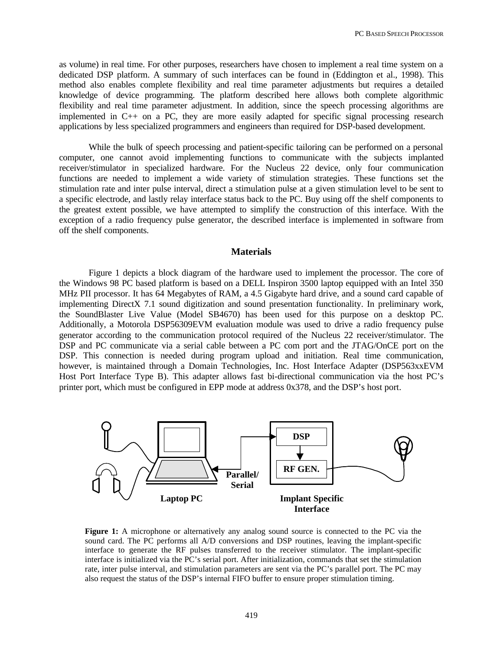as volume) in real time. For other purposes, researchers have chosen to implement a real time system on a dedicated DSP platform. A summary of such interfaces can be found in (Eddington et al., 1998). This method also enables complete flexibility and real time parameter adjustments but requires a detailed knowledge of device programming. The platform described here allows both complete algorithmic flexibility and real time parameter adjustment. In addition, since the speech processing algorithms are implemented in C++ on a PC, they are more easily adapted for specific signal processing research applications by less specialized programmers and engineers than required for DSP-based development.

While the bulk of speech processing and patient-specific tailoring can be performed on a personal computer, one cannot avoid implementing functions to communicate with the subjects implanted receiver/stimulator in specialized hardware. For the Nucleus 22 device, only four communication functions are needed to implement a wide variety of stimulation strategies. These functions set the stimulation rate and inter pulse interval, direct a stimulation pulse at a given stimulation level to be sent to a specific electrode, and lastly relay interface status back to the PC. Buy using off the shelf components to the greatest extent possible, we have attempted to simplify the construction of this interface. With the exception of a radio frequency pulse generator, the described interface is implemented in software from off the shelf components.

#### **Materials**

Figure 1 depicts a block diagram of the hardware used to implement the processor. The core of the Windows 98 PC based platform is based on a DELL Inspiron 3500 laptop equipped with an Intel 350 MHz PII processor. It has 64 Megabytes of RAM, a 4.5 Gigabyte hard drive, and a sound card capable of implementing DirectX 7.1 sound digitization and sound presentation functionality. In preliminary work, the SoundBlaster Live Value (Model SB4670) has been used for this purpose on a desktop PC. Additionally, a Motorola DSP56309EVM evaluation module was used to drive a radio frequency pulse generator according to the communication protocol required of the Nucleus 22 receiver/stimulator. The DSP and PC communicate via a serial cable between a PC com port and the JTAG/OnCE port on the DSP. This connection is needed during program upload and initiation. Real time communication, however, is maintained through a Domain Technologies, Inc. Host Interface Adapter (DSP563xxEVM Host Port Interface Type B). This adapter allows fast bi-directional communication via the host PC's printer port, which must be configured in EPP mode at address 0x378, and the DSP's host port.



**Figure 1:** A microphone or alternatively any analog sound source is connected to the PC via the sound card. The PC performs all A/D conversions and DSP routines, leaving the implant-specific interface to generate the RF pulses transferred to the receiver stimulator. The implant-specific interface is initialized via the PC's serial port. After initialization, commands that set the stimulation rate, inter pulse interval, and stimulation parameters are sent via the PC's parallel port. The PC may also request the status of the DSP's internal FIFO buffer to ensure proper stimulation timing.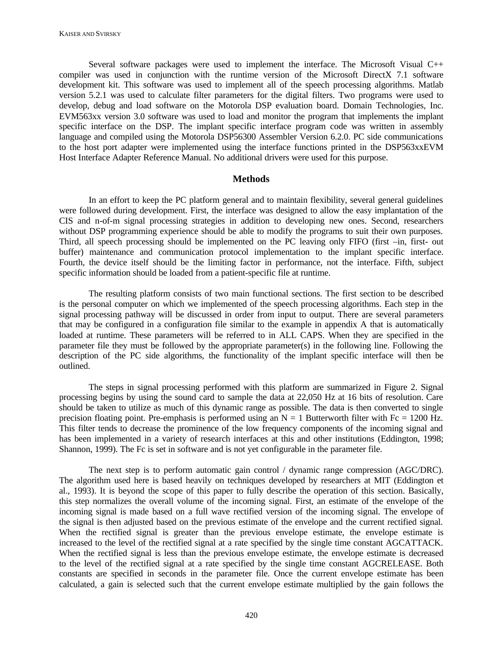Several software packages were used to implement the interface. The Microsoft Visual C++ compiler was used in conjunction with the runtime version of the Microsoft DirectX 7.1 software development kit. This software was used to implement all of the speech processing algorithms. Matlab version 5.2.1 was used to calculate filter parameters for the digital filters. Two programs were used to develop, debug and load software on the Motorola DSP evaluation board. Domain Technologies, Inc. EVM563xx version 3.0 software was used to load and monitor the program that implements the implant specific interface on the DSP. The implant specific interface program code was written in assembly language and compiled using the Motorola DSP56300 Assembler Version 6.2.0. PC side communications to the host port adapter were implemented using the interface functions printed in the DSP563xxEVM Host Interface Adapter Reference Manual. No additional drivers were used for this purpose.

#### **Methods**

In an effort to keep the PC platform general and to maintain flexibility, several general guidelines were followed during development. First, the interface was designed to allow the easy implantation of the CIS and n-of-m signal processing strategies in addition to developing new ones. Second, researchers without DSP programming experience should be able to modify the programs to suit their own purposes. Third, all speech processing should be implemented on the PC leaving only FIFO (first –in, first- out buffer) maintenance and communication protocol implementation to the implant specific interface. Fourth, the device itself should be the limiting factor in performance, not the interface. Fifth, subject specific information should be loaded from a patient-specific file at runtime.

The resulting platform consists of two main functional sections. The first section to be described is the personal computer on which we implemented of the speech processing algorithms. Each step in the signal processing pathway will be discussed in order from input to output. There are several parameters that may be configured in a configuration file similar to the example in appendix A that is automatically loaded at runtime. These parameters will be referred to in ALL CAPS. When they are specified in the parameter file they must be followed by the appropriate parameter(s) in the following line. Following the description of the PC side algorithms, the functionality of the implant specific interface will then be outlined.

The steps in signal processing performed with this platform are summarized in Figure 2. Signal processing begins by using the sound card to sample the data at 22,050 Hz at 16 bits of resolution. Care should be taken to utilize as much of this dynamic range as possible. The data is then converted to single precision floating point. Pre-emphasis is performed using an  $N = 1$  Butterworth filter with Fc = 1200 Hz. This filter tends to decrease the prominence of the low frequency components of the incoming signal and has been implemented in a variety of research interfaces at this and other institutions (Eddington, 1998; Shannon, 1999). The Fc is set in software and is not yet configurable in the parameter file.

The next step is to perform automatic gain control / dynamic range compression (AGC/DRC). The algorithm used here is based heavily on techniques developed by researchers at MIT (Eddington et al., 1993). It is beyond the scope of this paper to fully describe the operation of this section. Basically, this step normalizes the overall volume of the incoming signal. First, an estimate of the envelope of the incoming signal is made based on a full wave rectified version of the incoming signal. The envelope of the signal is then adjusted based on the previous estimate of the envelope and the current rectified signal. When the rectified signal is greater than the previous envelope estimate, the envelope estimate is increased to the level of the rectified signal at a rate specified by the single time constant AGCATTACK. When the rectified signal is less than the previous envelope estimate, the envelope estimate is decreased to the level of the rectified signal at a rate specified by the single time constant AGCRELEASE. Both constants are specified in seconds in the parameter file. Once the current envelope estimate has been calculated, a gain is selected such that the current envelope estimate multiplied by the gain follows the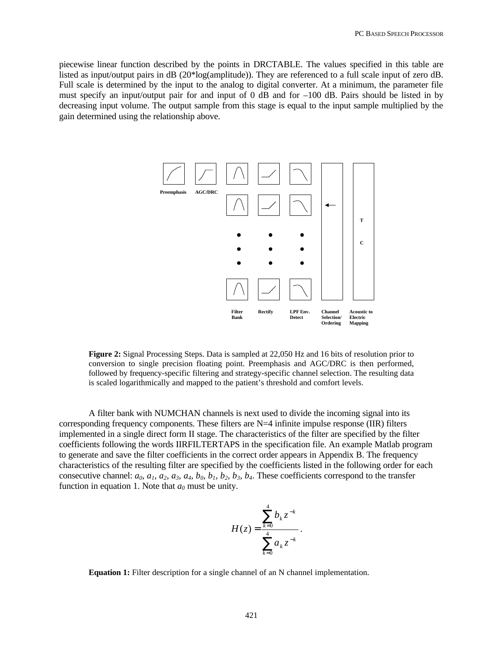piecewise linear function described by the points in DRCTABLE. The values specified in this table are listed as input/output pairs in dB (20\*log(amplitude)). They are referenced to a full scale input of zero dB. Full scale is determined by the input to the analog to digital converter. At a minimum, the parameter file must specify an input/output pair for and input of 0 dB and for –100 dB. Pairs should be listed in by decreasing input volume. The output sample from this stage is equal to the input sample multiplied by the gain determined using the relationship above.



**Figure 2:** Signal Processing Steps. Data is sampled at 22,050 Hz and 16 bits of resolution prior to conversion to single precision floating point. Preemphasis and AGC/DRC is then performed, followed by frequency-specific filtering and strategy-specific channel selection. The resulting data is scaled logarithmically and mapped to the patient's threshold and comfort levels.

A filter bank with NUMCHAN channels is next used to divide the incoming signal into its corresponding frequency components. These filters are  $N=4$  infinite impulse response (IIR) filters implemented in a single direct form II stage. The characteristics of the filter are specified by the filter coefficients following the words IIRFILTERTAPS in the specification file. An example Matlab program to generate and save the filter coefficients in the correct order appears in Appendix B. The frequency characteristics of the resulting filter are specified by the coefficients listed in the following order for each consecutive channel:  $a_0$ ,  $a_1$ ,  $a_2$ ,  $a_3$ ,  $a_4$ ,  $b_0$ ,  $b_1$ ,  $b_2$ ,  $b_3$ ,  $b_4$ . These coefficients correspond to the transfer function in equation 1. Note that  $a_0$  must be unity.

$$
H(z) = \frac{\sum_{k=0}^{4} b_k z^{-k}}{\sum_{k=0}^{4} a_k z^{-k}}.
$$

**Equation 1:** Filter description for a single channel of an N channel implementation.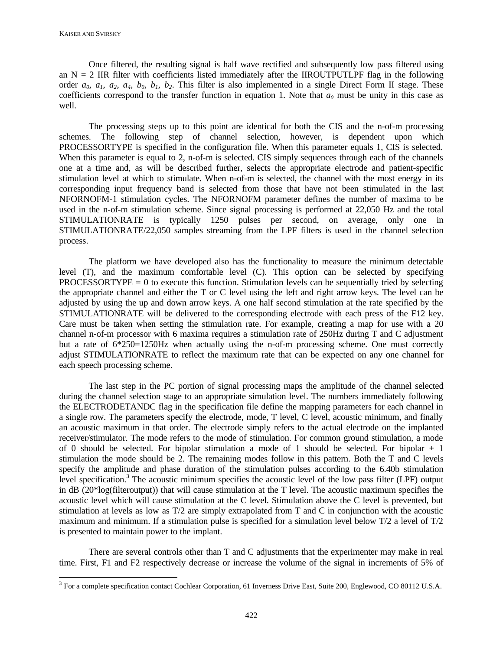Once filtered, the resulting signal is half wave rectified and subsequently low pass filtered using an  $N = 2$  IIR filter with coefficients listed immediately after the IIROUTPUTLPF flag in the following order  $a_0$ ,  $a_1$ ,  $a_2$ ,  $a_4$ ,  $b_0$ ,  $b_1$ ,  $b_2$ . This filter is also implemented in a single Direct Form II stage. These coefficients correspond to the transfer function in equation 1. Note that  $a_0$  must be unity in this case as well.

The processing steps up to this point are identical for both the CIS and the n-of-m processing schemes. The following step of channel selection, however, is dependent upon which PROCESSORTYPE is specified in the configuration file. When this parameter equals 1, CIS is selected. When this parameter is equal to 2, n-of-m is selected. CIS simply sequences through each of the channels one at a time and, as will be described further, selects the appropriate electrode and patient-specific stimulation level at which to stimulate. When n-of-m is selected, the channel with the most energy in its corresponding input frequency band is selected from those that have not been stimulated in the last NFORNOFM-1 stimulation cycles. The NFORNOFM parameter defines the number of maxima to be used in the n-of-m stimulation scheme. Since signal processing is performed at 22,050 Hz and the total STIMULATIONRATE is typically 1250 pulses per second, on average, only one in STIMULATIONRATE/22,050 samples streaming from the LPF filters is used in the channel selection process.

The platform we have developed also has the functionality to measure the minimum detectable level (T), and the maximum comfortable level (C). This option can be selected by specifying PROCESSORTYPE  $= 0$  to execute this function. Stimulation levels can be sequentially tried by selecting the appropriate channel and either the T or C level using the left and right arrow keys. The level can be adjusted by using the up and down arrow keys. A one half second stimulation at the rate specified by the STIMULATIONRATE will be delivered to the corresponding electrode with each press of the F12 key. Care must be taken when setting the stimulation rate. For example, creating a map for use with a 20 channel n-of-m processor with 6 maxima requires a stimulation rate of 250Hz during T and C adjustment but a rate of 6\*250=1250Hz when actually using the n-of-m processing scheme. One must correctly adjust STIMULATIONRATE to reflect the maximum rate that can be expected on any one channel for each speech processing scheme.

The last step in the PC portion of signal processing maps the amplitude of the channel selected during the channel selection stage to an appropriate simulation level. The numbers immediately following the ELECTRODETANDC flag in the specification file define the mapping parameters for each channel in a single row. The parameters specify the electrode, mode, T level, C level, acoustic minimum, and finally an acoustic maximum in that order. The electrode simply refers to the actual electrode on the implanted receiver/stimulator. The mode refers to the mode of stimulation. For common ground stimulation, a mode of 0 should be selected. For bipolar stimulation a mode of 1 should be selected. For bipolar + 1 stimulation the mode should be 2. The remaining modes follow in this pattern. Both the T and C levels specify the amplitude and phase duration of the stimulation pulses according to the 6.40b stimulation level specification.<sup>3</sup> The acoustic minimum specifies the acoustic level of the low pass filter (LPF) output in dB (20\*log(filteroutput)) that will cause stimulation at the T level. The acoustic maximum specifies the acoustic level which will cause stimulation at the C level. Stimulation above the C level is prevented, but stimulation at levels as low as T/2 are simply extrapolated from T and C in conjunction with the acoustic maximum and minimum. If a stimulation pulse is specified for a simulation level below T/2 a level of T/2 is presented to maintain power to the implant.

There are several controls other than T and C adjustments that the experimenter may make in real time. First, F1 and F2 respectively decrease or increase the volume of the signal in increments of 5% of

<sup>&</sup>lt;sup>3</sup> For a complete specification contact Cochlear Corporation, 61 Inverness Drive East, Suite 200, Englewood, CO 80112 U.S.A.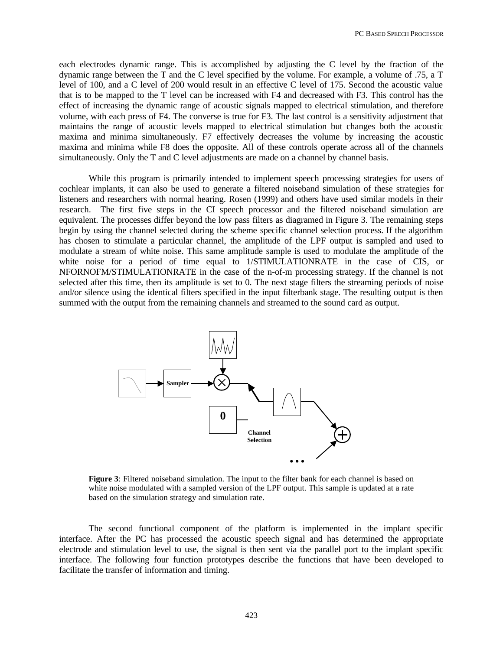each electrodes dynamic range. This is accomplished by adjusting the C level by the fraction of the dynamic range between the T and the C level specified by the volume. For example, a volume of .75, a T level of 100, and a C level of 200 would result in an effective C level of 175. Second the acoustic value that is to be mapped to the T level can be increased with F4 and decreased with F3. This control has the effect of increasing the dynamic range of acoustic signals mapped to electrical stimulation, and therefore volume, with each press of F4. The converse is true for F3. The last control is a sensitivity adjustment that maintains the range of acoustic levels mapped to electrical stimulation but changes both the acoustic maxima and minima simultaneously. F7 effectively decreases the volume by increasing the acoustic maxima and minima while F8 does the opposite. All of these controls operate across all of the channels simultaneously. Only the T and C level adjustments are made on a channel by channel basis.

While this program is primarily intended to implement speech processing strategies for users of cochlear implants, it can also be used to generate a filtered noiseband simulation of these strategies for listeners and researchers with normal hearing. Rosen (1999) and others have used similar models in their research. The first five steps in the CI speech processor and the filtered noiseband simulation are equivalent. The processes differ beyond the low pass filters as diagramed in Figure 3. The remaining steps begin by using the channel selected during the scheme specific channel selection process. If the algorithm has chosen to stimulate a particular channel, the amplitude of the LPF output is sampled and used to modulate a stream of white noise. This same amplitude sample is used to modulate the amplitude of the white noise for a period of time equal to 1/STIMULATIONRATE in the case of CIS, or NFORNOFM/STIMULATIONRATE in the case of the n-of-m processing strategy. If the channel is not selected after this time, then its amplitude is set to 0. The next stage filters the streaming periods of noise and/or silence using the identical filters specified in the input filterbank stage. The resulting output is then summed with the output from the remaining channels and streamed to the sound card as output.



**Figure 3**: Filtered noiseband simulation. The input to the filter bank for each channel is based on white noise modulated with a sampled version of the LPF output. This sample is updated at a rate based on the simulation strategy and simulation rate.

The second functional component of the platform is implemented in the implant specific interface. After the PC has processed the acoustic speech signal and has determined the appropriate electrode and stimulation level to use, the signal is then sent via the parallel port to the implant specific interface. The following four function prototypes describe the functions that have been developed to facilitate the transfer of information and timing.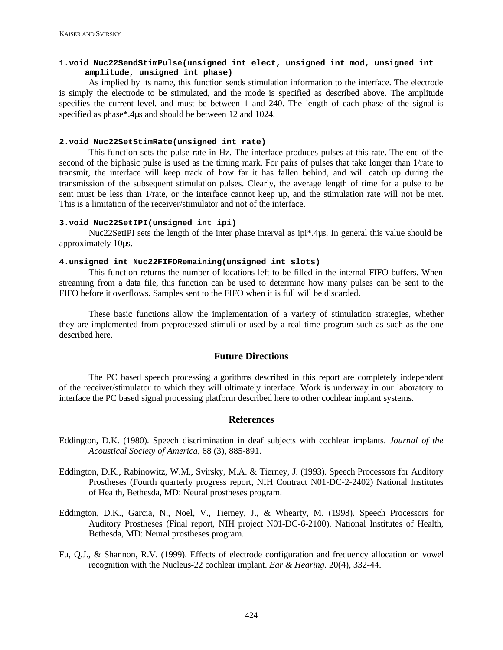#### **1.void Nuc22SendStimPulse(unsigned int elect, unsigned int mod, unsigned int amplitude, unsigned int phase)**

As implied by its name, this function sends stimulation information to the interface. The electrode is simply the electrode to be stimulated, and the mode is specified as described above. The amplitude specifies the current level, and must be between 1 and 240. The length of each phase of the signal is specified as phase\*.4µs and should be between 12 and 1024.

#### **2.void Nuc22SetStimRate(unsigned int rate)**

This function sets the pulse rate in Hz. The interface produces pulses at this rate. The end of the second of the biphasic pulse is used as the timing mark. For pairs of pulses that take longer than 1/rate to transmit, the interface will keep track of how far it has fallen behind, and will catch up during the transmission of the subsequent stimulation pulses. Clearly, the average length of time for a pulse to be sent must be less than 1/rate, or the interface cannot keep up, and the stimulation rate will not be met. This is a limitation of the receiver/stimulator and not of the interface.

#### **3.void Nuc22SetIPI(unsigned int ipi)**

Nuc22SetIPI sets the length of the inter phase interval as ipi\*.4µs. In general this value should be approximately 10µs.

#### **4.unsigned int Nuc22FIFORemaining(unsigned int slots)**

This function returns the number of locations left to be filled in the internal FIFO buffers. When streaming from a data file, this function can be used to determine how many pulses can be sent to the FIFO before it overflows. Samples sent to the FIFO when it is full will be discarded.

These basic functions allow the implementation of a variety of stimulation strategies, whether they are implemented from preprocessed stimuli or used by a real time program such as such as the one described here.

### **Future Directions**

The PC based speech processing algorithms described in this report are completely independent of the receiver/stimulator to which they will ultimately interface. Work is underway in our laboratory to interface the PC based signal processing platform described here to other cochlear implant systems.

#### **References**

- Eddington, D.K. (1980). Speech discrimination in deaf subjects with cochlear implants. *Journal of the Acoustical Society of America*, 68 (3), 885-891.
- Eddington, D.K., Rabinowitz, W.M., Svirsky, M.A. & Tierney, J. (1993). Speech Processors for Auditory Prostheses (Fourth quarterly progress report, NIH Contract N01-DC-2-2402) National Institutes of Health, Bethesda, MD: Neural prostheses program.
- Eddington, D.K., Garcia, N., Noel, V., Tierney, J., & Whearty, M. (1998). Speech Processors for Auditory Prostheses (Final report, NIH project N01-DC-6-2100). National Institutes of Health, Bethesda, MD: Neural prostheses program.
- Fu, Q.J., & Shannon, R.V. (1999). Effects of electrode configuration and frequency allocation on vowel recognition with the Nucleus-22 cochlear implant. *Ear & Hearing*. 20(4), 332-44.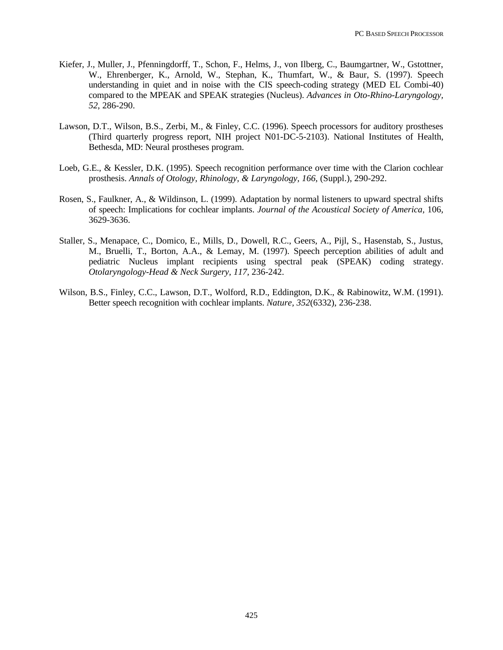- Kiefer, J., Muller, J., Pfenningdorff, T., Schon, F., Helms, J., von Ilberg, C., Baumgartner, W., Gstottner, W., Ehrenberger, K., Arnold, W., Stephan, K., Thumfart, W., & Baur, S. (1997). Speech understanding in quiet and in noise with the CIS speech-coding strategy (MED EL Combi-40) compared to the MPEAK and SPEAK strategies (Nucleus). *Advances in Oto-Rhino-Laryngology, 52*, 286-290.
- Lawson, D.T., Wilson, B.S., Zerbi, M., & Finley, C.C. (1996). Speech processors for auditory prostheses (Third quarterly progress report, NIH project N01-DC-5-2103). National Institutes of Health, Bethesda, MD: Neural prostheses program.
- Loeb, G.E., & Kessler, D.K. (1995). Speech recognition performance over time with the Clarion cochlear prosthesis. *Annals of Otology, Rhinology, & Laryngology, 166*, (Suppl.), 290-292.
- Rosen, S., Faulkner, A., & Wildinson, L. (1999). Adaptation by normal listeners to upward spectral shifts of speech: Implications for cochlear implants. *Journal of the Acoustical Society of America,* 106*,*  3629-3636.
- Staller, S., Menapace, C., Domico, E., Mills, D., Dowell, R.C., Geers, A., Pijl, S., Hasenstab, S., Justus, M., Bruelli, T., Borton, A.A., & Lemay, M. (1997). Speech perception abilities of adult and pediatric Nucleus implant recipients using spectral peak (SPEAK) coding strategy. *Otolaryngology-Head & Neck Surgery, 117,* 236-242.
- Wilson, B.S., Finley, C.C., Lawson, D.T., Wolford, R.D., Eddington, D.K., & Rabinowitz, W.M. (1991). Better speech recognition with cochlear implants. *Nature, 352*(6332), 236-238.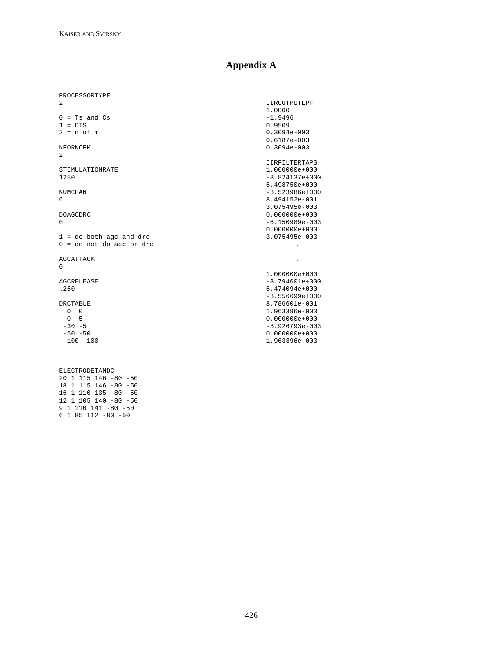# **Appendix A**

| PROCESSORTYPE              |                      |
|----------------------------|----------------------|
| 2                          | <b>IIROUTPUTLPF</b>  |
|                            | 1,0000               |
| $0 = Ts$ and $Cs$          | $-1.9496$            |
| $1 = CIS$                  | 0.9509               |
| $2 = n of m$               | $0.3094e - 003$      |
|                            | $0.6187e-003$        |
| NFORNOFM<br>$\overline{2}$ | $0.3094e - 003$      |
|                            | <b>IIRFILTERTAPS</b> |
| STIMULATIONRATE            | $1.000000e + 000$    |
| 1250                       | $-3.824137e+000$     |
|                            | 5.498750e+000        |
| <b>NUMCHAN</b>             | $-3.523986e+000$     |
| 6                          | 8.494152e-001        |
|                            | 3.075495e-003        |
| <b>DOAGCDRC</b>            | $0.000000e + 000$    |
| $\Omega$                   | $-6.150989e - 003$   |
|                            | $0.000000e + 000$    |
| $1 =$ do both agc and drc  | 3.075495e-003        |
| $0 =$ do not do agc or drc |                      |
|                            |                      |
| AGCATTACK                  |                      |
| $\Omega$                   |                      |
|                            | $1.000000e + 000$    |
| AGCRELEASE                 | $-3.794601e+000$     |
| .250                       | 5.474094e+000        |
|                            | $-3.556699e+000$     |
| <b>DRCTABLE</b>            | 8.786601e-001        |
| $0 \quad 0$                | 1.963396e-003        |
| $0 - 5$                    | $0.000000e+000$      |
| $-30 - 5$                  | $-3.926793e - 003$   |
| $-50 - 50$                 | $0.000000e+000$      |
| $-100 - 100$               | 1.963396e-003        |
|                            |                      |

ELECTRODETANDC 20 1 115 146 -80 -50 18 1 115 146 -80 -50 16 1 110 135 -80 -50 12 1 105 140 -80 -50 9 1 110 141 -80 -50 6 1 85 112 -80 -50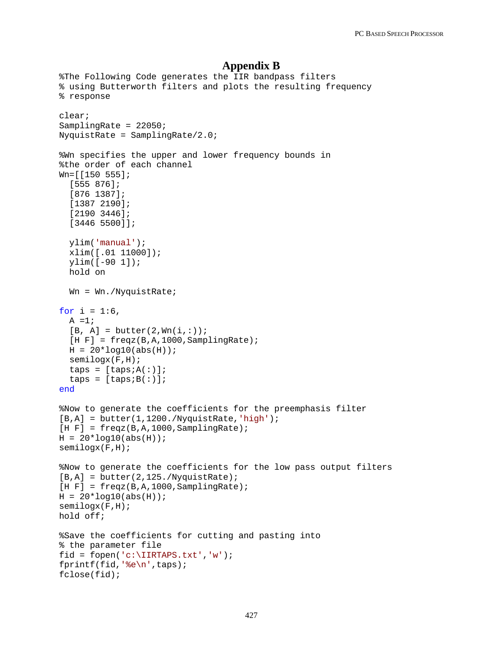#### **Appendix B**

```
%The Following Code generates the IIR bandpass filters
% using Butterworth filters and plots the resulting frequency
% response
clear;
SamplingRate = 22050;
NyquistRate = SamplingRate/2.0;
%Wn specifies the upper and lower frequency bounds in 
%the order of each channel
Wn=[[150 555];
   [555 876];
   [876 1387];
   [1387 2190];
   [2190 3446];
   [3446 5500]];
   ylim('manual');
   xlim([.01 11000]);
   ylim([-90 1]);
   hold on
   Wn = Wn./NyquistRate;
for i = 1:6,
  A = 1;[B, A] = butter(2, Wn(i,:));[H F] = \text{freqz}(B, A, 1000, \text{SampleingRate});
 H = 20 * log10(abs(H)); semilogx(F,H);
  taps = [taps:A(:)];
  taps = [taps:B(:)];
end
%Now to generate the coefficients for the preemphasis filter
[B,A] = butter(1,1200./NyquistRate,'high');[H F] = \text{freqz}(B, A, 1000, \text{SamplingRate});H = 20 * log10(abs(H));semilogx(F,H);
%Now to generate the coefficients for the low pass output filters
[B,A] = butter(2,125./NyquistRate);[H F] = \frac{f}{g} = freqz(B,A,1000,SamplingRate);
H = 20 * log10(abs(H));semilogx(F,H);
hold off;
%Save the coefficients for cutting and pasting into
% the parameter file 
fid = fopen('c:\IIRTAPS.txt','w');
fprintf(fid,'%e\n',taps);
fclose(fid);
```